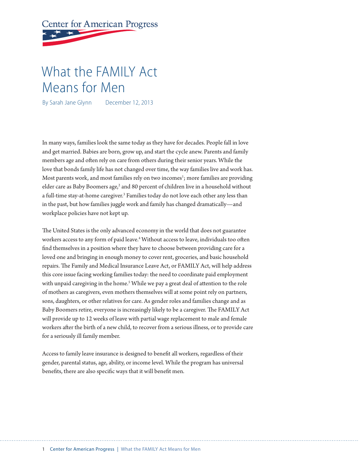# **Center for American Progress**

## What the FAMILY Act Means for Men

By Sarah Jane Glynn December 12, 2013

In many ways, families look the same today as they have for decades. People fall in love and get married. Babies are born, grow up, and start the cycle anew. Parents and family members age and often rely on care from others during their senior years. While the love that bonds family life has not changed over time, the way families live and work has. Most parents work, and most families rely on two incomes<sup>1</sup>; more families are providing elder care as Baby Boomers age,<sup>2</sup> and 80 percent of children live in a household without a full-time stay-at-home caregiver.<sup>3</sup> Families today do not love each other any less than in the past, but how families juggle work and family has changed dramatically—and workplace policies have not kept up.

The United States is the only advanced economy in the world that does not guarantee workers access to any form of paid leave.4 Without access to leave, individuals too often find themselves in a position where they have to choose between providing care for a loved one and bringing in enough money to cover rent, groceries, and basic household repairs. The Family and Medical Insurance Leave Act, or FAMILY Act, will help address this core issue facing working families today: the need to coordinate paid employment with unpaid caregiving in the home.<sup>5</sup> While we pay a great deal of attention to the role of mothers as caregivers, even mothers themselves will at some point rely on partners, sons, daughters, or other relatives for care. As gender roles and families change and as Baby Boomers retire, everyone is increasingly likely to be a caregiver. The FAMILY Act will provide up to 12 weeks of leave with partial wage replacement to male and female workers after the birth of a new child, to recover from a serious illness, or to provide care for a seriously ill family member.

Access to family leave insurance is designed to benefit all workers, regardless of their gender, parental status, age, ability, or income level. While the program has universal benefits, there are also specific ways that it will benefit men.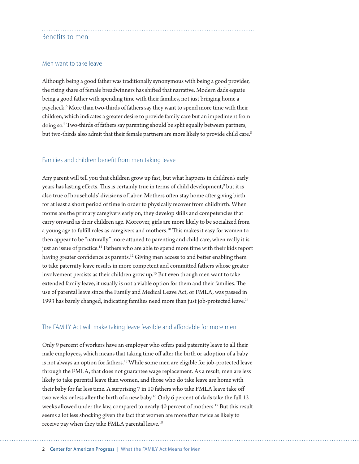#### Benefits to men

#### Men want to take leave

Although being a good father was traditionally synonymous with being a good provider, the rising share of female breadwinners has shifted that narrative. Modern dads equate being a good father with spending time with their families, not just bringing home a paycheck.6 More than two-thirds of fathers say they want to spend more time with their children, which indicates a greater desire to provide family care but an impediment from doing so.7 Two-thirds of fathers say parenting should be split equally between partners, but two-thirds also admit that their female partners are more likely to provide child care.<sup>8</sup>

#### Families and children benefit from men taking leave

Any parent will tell you that children grow up fast, but what happens in children's early years has lasting effects. This is certainly true in terms of child development,<sup>9</sup> but it is also true of households' divisions of labor. Mothers often stay home after giving birth for at least a short period of time in order to physically recover from childbirth. When moms are the primary caregivers early on, they develop skills and competencies that carry onward as their children age. Moreover, girls are more likely to be socialized from a young age to fulfill roles as caregivers and mothers.<sup>10</sup> This makes it easy for women to then appear to be "naturally" more attuned to parenting and child care, when really it is just an issue of practice.<sup>11</sup> Fathers who are able to spend more time with their kids report having greater confidence as parents.<sup>12</sup> Giving men access to and better enabling them to take paternity leave results in more competent and committed fathers whose greater involvement persists as their children grow up.13 But even though men want to take extended family leave, it usually is not a viable option for them and their families. The use of parental leave since the Family and Medical Leave Act, or FMLA, was passed in 1993 has barely changed, indicating families need more than just job-protected leave.<sup>14</sup>

#### The FAMILY Act will make taking leave feasible and affordable for more men

Only 9 percent of workers have an employer who offers paid paternity leave to all their male employees, which means that taking time off after the birth or adoption of a baby is not always an option for fathers.<sup>15</sup> While some men are eligible for job-protected leave through the FMLA, that does not guarantee wage replacement. As a result, men are less likely to take parental leave than women, and those who do take leave are home with their baby for far less time. A surprising 7 in 10 fathers who take FMLA leave take off two weeks or less after the birth of a new baby.<sup>16</sup> Only 6 percent of dads take the full 12 weeks allowed under the law, compared to nearly 40 percent of mothers.<sup>17</sup> But this result seems a lot less shocking given the fact that women are more than twice as likely to receive pay when they take FMLA parental leave.<sup>18</sup>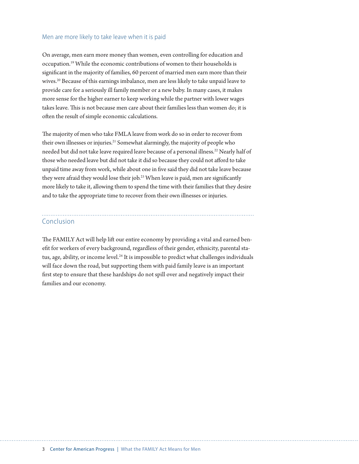#### Men are more likely to take leave when it is paid

On average, men earn more money than women, even controlling for education and occupation.19 While the economic contributions of women to their households is significant in the majority of families, 60 percent of married men earn more than their wives.20 Because of this earnings imbalance, men are less likely to take unpaid leave to provide care for a seriously ill family member or a new baby. In many cases, it makes more sense for the higher earner to keep working while the partner with lower wages takes leave. This is not because men care about their families less than women do; it is often the result of simple economic calculations.

The majority of men who take FMLA leave from work do so in order to recover from their own illnesses or injuries.<sup>21</sup> Somewhat alarmingly, the majority of people who needed but did not take leave required leave because of a personal illness.<sup>22</sup> Nearly half of those who needed leave but did not take it did so because they could not afford to take unpaid time away from work, while about one in five said they did not take leave because they were afraid they would lose their job.<sup>23</sup> When leave is paid, men are significantly more likely to take it, allowing them to spend the time with their families that they desire and to take the appropriate time to recover from their own illnesses or injuries.

### Conclusion

The FAMILY Act will help lift our entire economy by providing a vital and earned benefit for workers of every background, regardless of their gender, ethnicity, parental status, age, ability, or income level.<sup>24</sup> It is impossible to predict what challenges individuals will face down the road, but supporting them with paid family leave is an important first step to ensure that these hardships do not spill over and negatively impact their families and our economy.